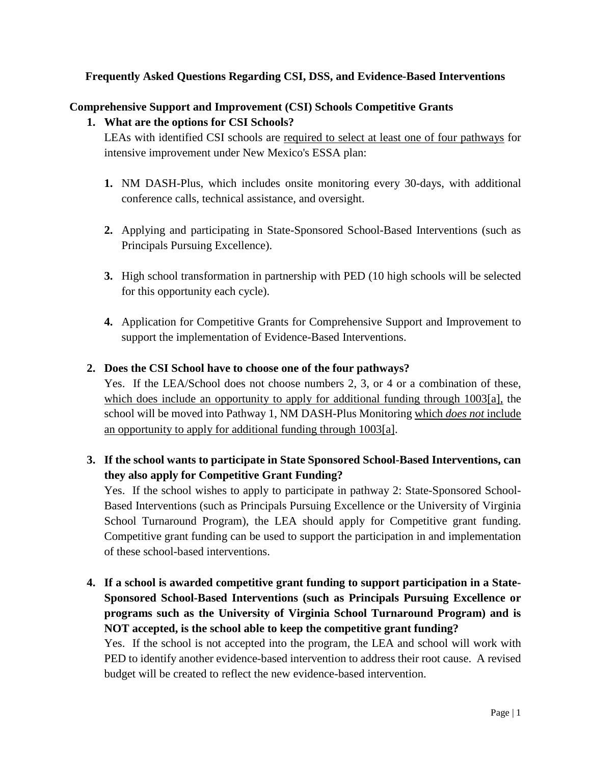## **Frequently Asked Questions Regarding CSI, DSS, and Evidence-Based Interventions**

## **Comprehensive Support and Improvement (CSI) Schools Competitive Grants**

## **1. What are the options for CSI Schools?**

LEAs with identified CSI schools are required to select at least one of four pathways for intensive improvement under New Mexico's ESSA plan:

- **1.** NM DASH-Plus, which includes onsite monitoring every 30-days, with additional conference calls, technical assistance, and oversight.
- **2.** Applying and participating in State-Sponsored School-Based Interventions (such as Principals Pursuing Excellence).
- **3.** High school transformation in partnership with PED (10 high schools will be selected for this opportunity each cycle).
- **4.** Application for Competitive Grants for Comprehensive Support and Improvement to support the implementation of Evidence-Based Interventions.

## **2. Does the CSI School have to choose one of the four pathways?**

Yes. If the LEA/School does not choose numbers 2, 3, or 4 or a combination of these, which does include an opportunity to apply for additional funding through 1003[a], the school will be moved into Pathway 1, NM DASH-Plus Monitoring which *does not* include an opportunity to apply for additional funding through 1003[a].

# **3. If the school wants to participate in State Sponsored School-Based Interventions, can they also apply for Competitive Grant Funding?**

Yes. If the school wishes to apply to participate in pathway 2: State-Sponsored School-Based Interventions (such as Principals Pursuing Excellence or the University of Virginia School Turnaround Program), the LEA should apply for Competitive grant funding. Competitive grant funding can be used to support the participation in and implementation of these school-based interventions.

**4. If a school is awarded competitive grant funding to support participation in a State-Sponsored School-Based Interventions (such as Principals Pursuing Excellence or programs such as the University of Virginia School Turnaround Program) and is NOT accepted, is the school able to keep the competitive grant funding?**

Yes. If the school is not accepted into the program, the LEA and school will work with PED to identify another evidence-based intervention to address their root cause. A revised budget will be created to reflect the new evidence-based intervention.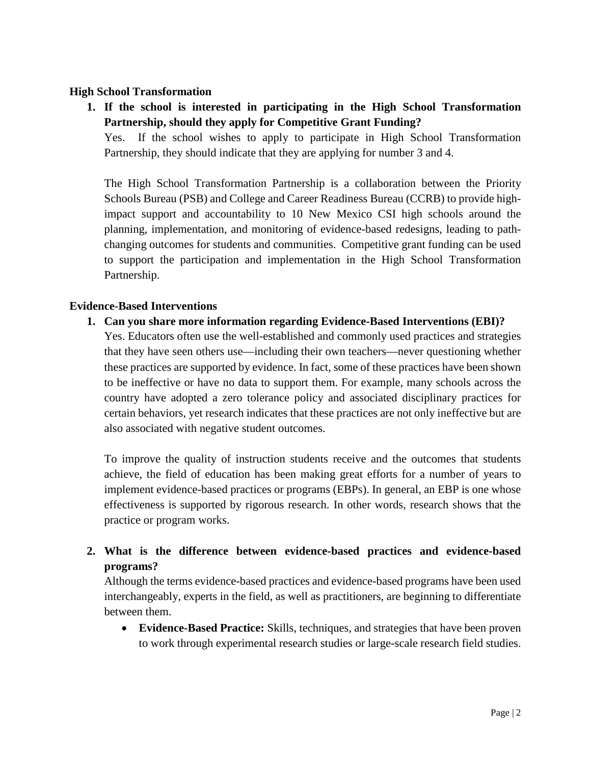### **High School Transformation**

**1. If the school is interested in participating in the High School Transformation Partnership, should they apply for Competitive Grant Funding?**

Yes. If the school wishes to apply to participate in High School Transformation Partnership, they should indicate that they are applying for number 3 and 4.

The High School Transformation Partnership is a collaboration between the Priority Schools Bureau (PSB) and College and Career Readiness Bureau (CCRB) to provide highimpact support and accountability to 10 New Mexico CSI high schools around the planning, implementation, and monitoring of evidence-based redesigns, leading to pathchanging outcomes for students and communities. Competitive grant funding can be used to support the participation and implementation in the High School Transformation Partnership.

#### **Evidence-Based Interventions**

#### **1. Can you share more information regarding Evidence-Based Interventions (EBI)?**

Yes. Educators often use the well-established and commonly used practices and strategies that they have seen others use—including their own teachers—never questioning whether these practices are supported by evidence. In fact, some of these practices have been shown to be ineffective or have no data to support them. For example, many schools across the country have adopted a zero tolerance policy and associated disciplinary practices for certain behaviors, yet research indicates that these practices are not only ineffective but are also associated with negative student outcomes.

To improve the quality of instruction students receive and the outcomes that students achieve, the field of education has been making great efforts for a number of years to implement evidence-based practices or programs (EBPs). In general, an EBP is one whose effectiveness is supported by rigorous research. In other words, research shows that the practice or program works.

# **2. What is the difference between evidence-based practices and evidence-based programs?**

Although the terms evidence-based practices and evidence-based programs have been used interchangeably, experts in the field, as well as practitioners, are beginning to differentiate between them.

• **Evidence-Based Practice:** Skills, techniques, and strategies that have been proven to work through experimental research studies or large-scale research field studies.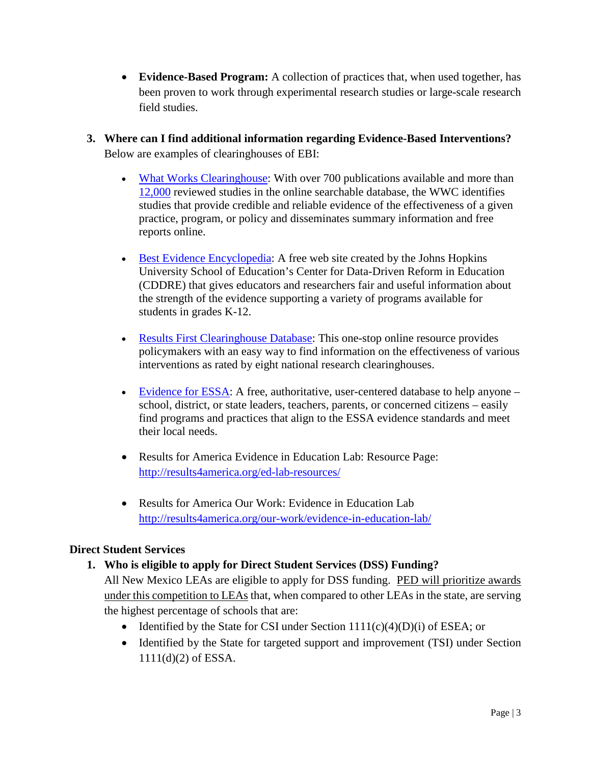- **Evidence-Based Program:** A collection of practices that, when used together, has been proven to work through experimental research studies or large-scale research field studies.
- **3. Where can I find additional information regarding Evidence-Based Interventions?** Below are examples of clearinghouses of EBI:
	- [What Works Clearinghouse:](http://ies.ed.gov/ncee/wwc/) With over 700 publications available and more than [12,000](http://ies.ed.gov/ncee/wwc/ReviewedStudies.aspx) reviewed studies in the online searchable database, the WWC identifies studies that provide credible and reliable evidence of the effectiveness of a given practice, program, or policy and disseminates summary information and free reports online.
	- [Best Evidence Encyclopedia:](http://www.bestevidence.org/) A free web site created by the Johns Hopkins University School of Education's Center for Data-Driven Reform in Education (CDDRE) that gives educators and researchers fair and useful information about the strength of the evidence supporting a variety of programs available for students in grades K-12.
	- [Results First Clearinghouse Database:](http://www.pewtrusts.org/en/research-and-analysis/issue-briefs/2014/09/results-first-clearinghouse-database) This one-stop online resource provides policymakers with an easy way to find information on the effectiveness of various interventions as rated by eight national research clearinghouses.
	- [Evidence for ESSA:](http://www.evidenceforessa.org/) A free, authoritative, user-centered database to help anyone school, district, or state leaders, teachers, parents, or concerned citizens – easily find programs and practices that align to the ESSA evidence standards and meet their local needs.
	- Results for America Evidence in Education Lab: Resource Page: <http://results4america.org/ed-lab-resources/>
	- Results for America Our Work: Evidence in Education Lab <http://results4america.org/our-work/evidence-in-education-lab/>

## **Direct Student Services**

# **1. Who is eligible to apply for Direct Student Services (DSS) Funding?**

All New Mexico LEAs are eligible to apply for DSS funding. PED will prioritize awards under this competition to LEAs that, when compared to other LEAs in the state, are serving the highest percentage of schools that are:

- Identified by the State for CSI under Section  $1111(c)(4)(D)(i)$  of ESEA; or
- Identified by the State for targeted support and improvement (TSI) under Section 1111(d)(2) of ESSA.